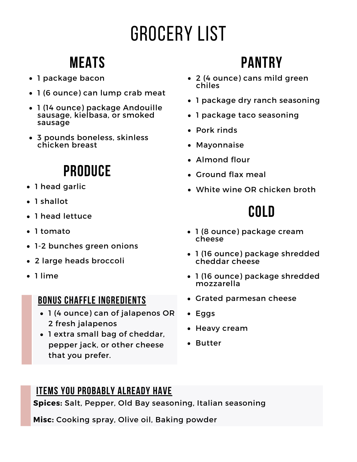# Grocery List

## **Meats**

- 1 package bacon
- 1 (6 ounce) can lump crab meat
- 1 (14 ounce) package Andouille sausage, kielbasa, or smoked sausage
- 3 pounds boneless, skinless chicken breast

## **Produce**

- 1 head garlic
- 1 shallot
- 1 head lettuce
- 1 tomato
- 1-2 bunches green onions
- 2 large heads broccoli
- 1 lime

### **Bonus chaffle ingredients**

- 1 (4 ounce) can of jalapenos OR 2 fresh jalapenos
- 1 extra small bag of cheddar, pepper jack, or other cheese that you prefer.

## **Pantry**

- 2 (4 ounce) cans mild green chiles
- 1 package dry ranch seasoning
- 1 package taco seasoning
- Pork rinds
- Mayonnaise
- Almond flour
- Ground flax meal
- White wine OR chicken broth

### **Cold**

- 1 (8 ounce) package cream cheese
- 1 (16 ounce) package shredded cheddar cheese
- 1 (16 ounce) package shredded mozzarella
- Grated parmesan cheese
- Eggs
- Heavy cream
- Butter

### **Items you probably already have**

**Spices:** Salt, Pepper, Old Bay seasoning, Italian seasoning

**Misc:** Cooking spray, Olive oil, Baking powder